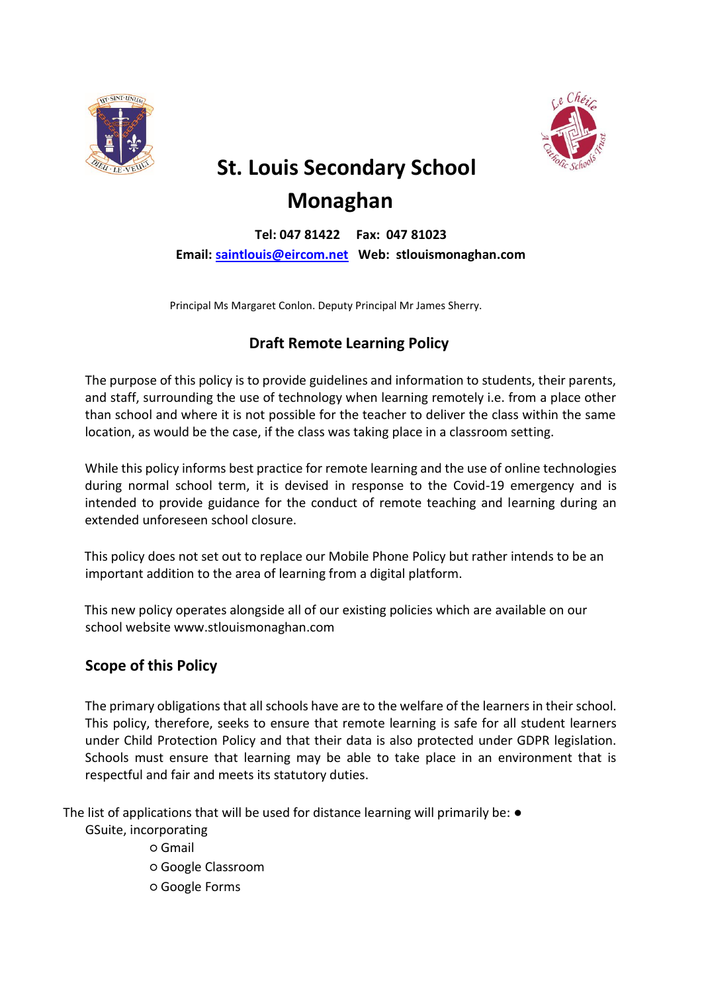



# **St. Louis Secondary School Monaghan**

**Tel: 047 81422 Fax: 047 81023 Email: [saintlouis@eircom.net](mailto:saintlouis@eircom.net) Web: stlouismonaghan.com**

Principal Ms Margaret Conlon. Deputy Principal Mr James Sherry.

# **Draft Remote Learning Policy**

The purpose of this policy is to provide guidelines and information to students, their parents, and staff, surrounding the use of technology when learning remotely i.e. from a place other than school and where it is not possible for the teacher to deliver the class within the same location, as would be the case, if the class was taking place in a classroom setting.

While this policy informs best practice for remote learning and the use of online technologies during normal school term, it is devised in response to the Covid-19 emergency and is intended to provide guidance for the conduct of remote teaching and learning during an extended unforeseen school closure.

This policy does not set out to replace our Mobile Phone Policy but rather intends to be an important addition to the area of learning from a digital platform.

This new policy operates alongside all of our existing policies which are available on our school website www.stlouismonaghan.com

## **Scope of this Policy**

The primary obligations that all schools have are to the welfare of the learners in their school. This policy, therefore, seeks to ensure that remote learning is safe for all student learners under Child Protection Policy and that their data is also protected under GDPR legislation. Schools must ensure that learning may be able to take place in an environment that is respectful and fair and meets its statutory duties.

The list of applications that will be used for distance learning will primarily be: ●

GSuite, incorporating

- Gmail
- Google Classroom
- Google Forms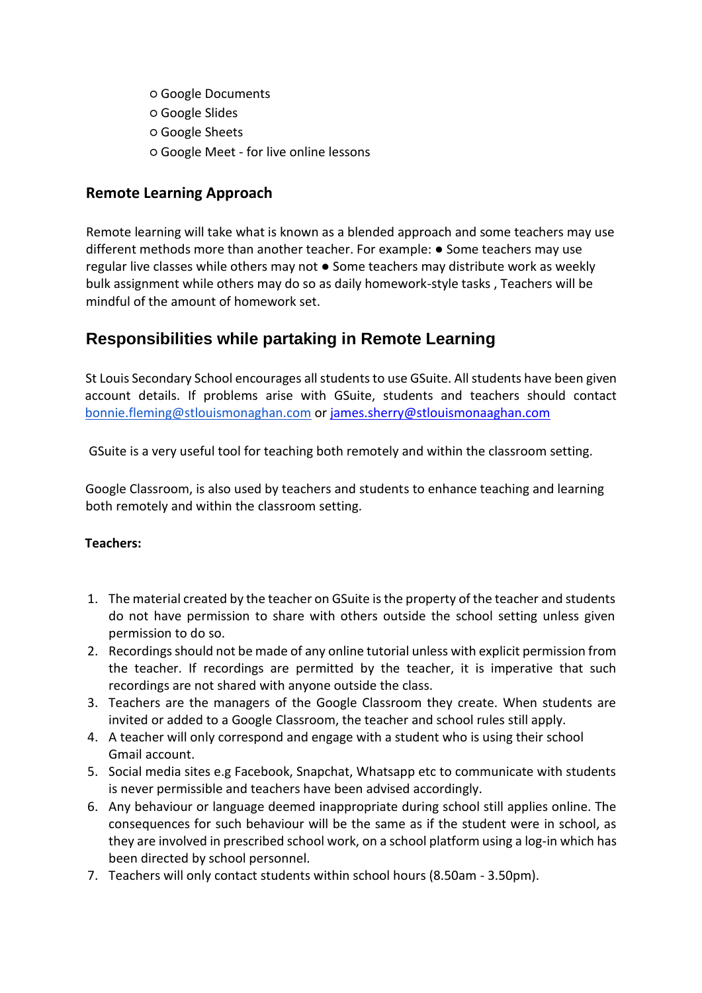- Google Documents
- Google Slides
- Google Sheets
- Google Meet for live online lessons

## **Remote Learning Approach**

Remote learning will take what is known as a blended approach and some teachers may use different methods more than another teacher. For example: ● Some teachers may use regular live classes while others may not ● Some teachers may distribute work as weekly bulk assignment while others may do so as daily homework-style tasks , Teachers will be mindful of the amount of homework set.

# **Responsibilities while partaking in Remote Learning**

St Louis Secondary School encourages all students to use GSuite. All students have been given account details. If problems arise with GSuite, students and teachers should contact [bonnie.fleming@stlouismonaghan.com](mailto:bonnie.fleming@stlouismonaghan.com) or [james.sherry@stlouismonaaghan.com](mailto:james.sherry@stlouismonaaghan.com)

GSuite is a very useful tool for teaching both remotely and within the classroom setting.

Google Classroom, is also used by teachers and students to enhance teaching and learning both remotely and within the classroom setting.

#### **Teachers:**

- 1. The material created by the teacher on GSuite is the property of the teacher and students do not have permission to share with others outside the school setting unless given permission to do so.
- 2. Recordings should not be made of any online tutorial unless with explicit permission from the teacher. If recordings are permitted by the teacher, it is imperative that such recordings are not shared with anyone outside the class.
- 3. Teachers are the managers of the Google Classroom they create. When students are invited or added to a Google Classroom, the teacher and school rules still apply.
- 4. A teacher will only correspond and engage with a student who is using their school Gmail account.
- 5. Social media sites e.g Facebook, Snapchat, Whatsapp etc to communicate with students is never permissible and teachers have been advised accordingly.
- 6. Any behaviour or language deemed inappropriate during school still applies online. The consequences for such behaviour will be the same as if the student were in school, as they are involved in prescribed school work, on a school platform using a log-in which has been directed by school personnel.
- 7. Teachers will only contact students within school hours (8.50am 3.50pm).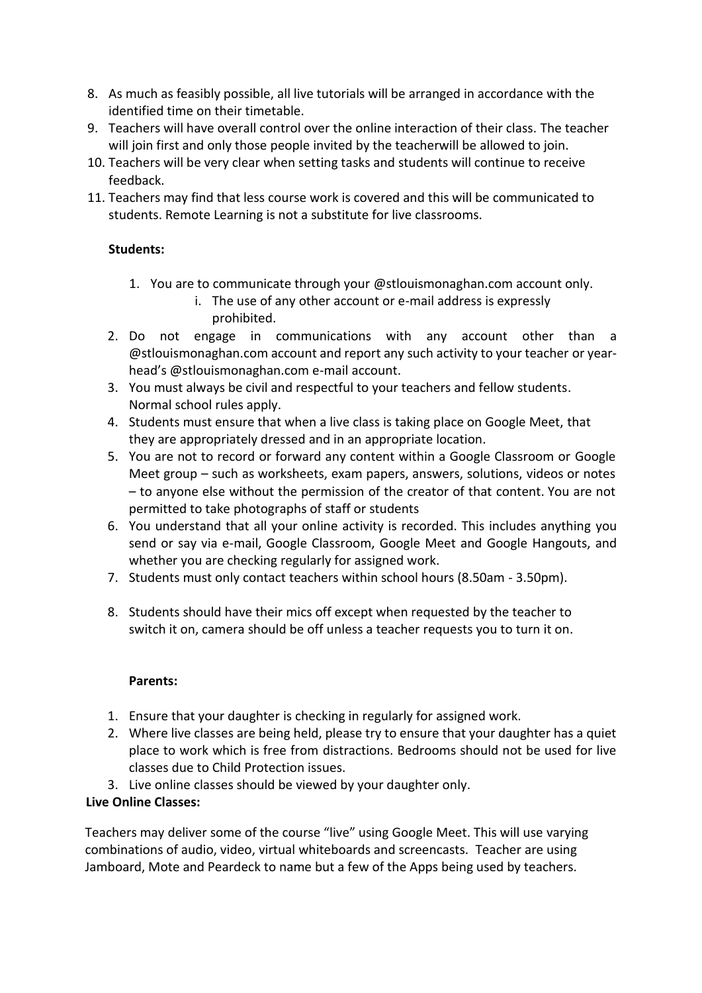- 8. As much as feasibly possible, all live tutorials will be arranged in accordance with the identified time on their timetable.
- 9. Teachers will have overall control over the online interaction of their class. The teacher will join first and only those people invited by the teacherwill be allowed to join.
- 10. Teachers will be very clear when setting tasks and students will continue to receive feedback.
- 11. Teachers may find that less course work is covered and this will be communicated to students. Remote Learning is not a substitute for live classrooms.

### **Students:**

- 1. You are to communicate through your @stlouismonaghan.com account only.
	- i. The use of any other account or e-mail address is expressly prohibited.
- 2. Do not engage in communications with any account other than a @stlouismonaghan.com account and report any such activity to your teacher or yearhead's @stlouismonaghan.com e-mail account.
- 3. You must always be civil and respectful to your teachers and fellow students. Normal school rules apply.
- 4. Students must ensure that when a live class is taking place on Google Meet, that they are appropriately dressed and in an appropriate location.
- 5. You are not to record or forward any content within a Google Classroom or Google Meet group – such as worksheets, exam papers, answers, solutions, videos or notes – to anyone else without the permission of the creator of that content. You are not permitted to take photographs of staff or students
- 6. You understand that all your online activity is recorded. This includes anything you send or say via e-mail, Google Classroom, Google Meet and Google Hangouts, and whether you are checking regularly for assigned work.
- 7. Students must only contact teachers within school hours (8.50am 3.50pm).
- 8. Students should have their mics off except when requested by the teacher to switch it on, camera should be off unless a teacher requests you to turn it on.

#### **Parents:**

- 1. Ensure that your daughter is checking in regularly for assigned work.
- 2. Where live classes are being held, please try to ensure that your daughter has a quiet place to work which is free from distractions. Bedrooms should not be used for live classes due to Child Protection issues.
- 3. Live online classes should be viewed by your daughter only.

## **Live Online Classes:**

Teachers may deliver some of the course "live" using Google Meet. This will use varying combinations of audio, video, virtual whiteboards and screencasts. Teacher are using Jamboard, Mote and Peardeck to name but a few of the Apps being used by teachers.